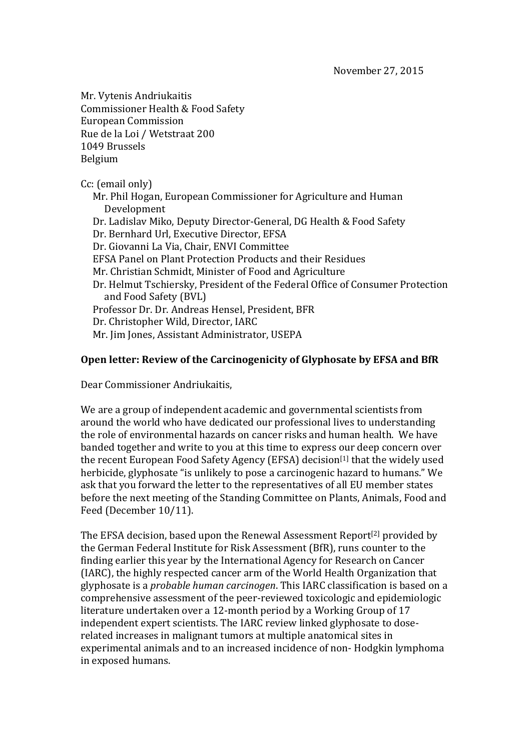Mr. Vytenis Andriukaitis Commissioner Health & Food Safety European Commission Rue de la Loi / Wetstraat 200 1049 Brussels Belgium 

Cc: (email only) Mr. Phil Hogan, European Commissioner for Agriculture and Human Development Dr. Ladislav Miko, Deputy Director-General, DG Health & Food Safety Dr. Bernhard Url, Executive Director, EFSA Dr. Giovanni La Via, Chair, ENVI Committee EFSA Panel on Plant Protection Products and their Residues Mr. Christian Schmidt, Minister of Food and Agriculture Dr. Helmut Tschiersky, President of the Federal Office of Consumer Protection and Food Safety (BVL) Professor Dr. Dr. Andreas Hensel, President, BFR Dr. Christopher Wild, Director, IARC Mr. Jim Jones, Assistant Administrator, USEPA

### **Open letter: Review of the Carcinogenicity of Glyphosate by EFSA and BfR**

Dear Commissioner Andriukaitis,

We are a group of independent academic and governmental scientists from around the world who have dedicated our professional lives to understanding the role of environmental hazards on cancer risks and human health. We have banded together and write to you at this time to express our deep concern over the recent European Food Safety Agency (EFSA) decision<sup>[1]</sup> that the widely used herbicide, glyphosate "is unlikely to pose a carcinogenic hazard to humans." We ask that you forward the letter to the representatives of all EU member states before the next meeting of the Standing Committee on Plants, Animals, Food and Feed (December 10/11).

The EFSA decision, based upon the Renewal Assessment Report<sup>[2]</sup> provided by the German Federal Institute for Risk Assessment (BfR), runs counter to the finding earlier this year by the International Agency for Research on Cancer (IARC), the highly respected cancer arm of the World Health Organization that glyphosate is a *probable human carcinogen*. This IARC classification is based on a comprehensive assessment of the peer-reviewed toxicologic and epidemiologic literature undertaken over a 12-month period by a Working Group of 17 independent expert scientists. The IARC review linked glyphosate to doserelated increases in malignant tumors at multiple anatomical sites in experimental animals and to an increased incidence of non-Hodgkin lymphoma in exposed humans.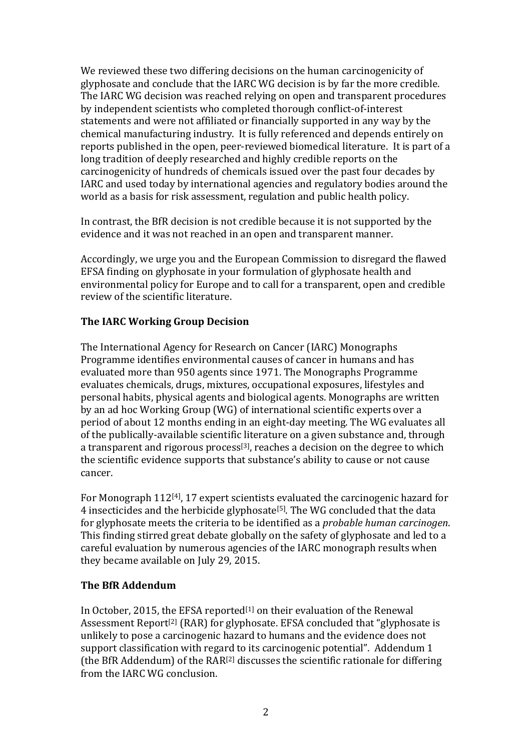We reviewed these two differing decisions on the human carcinogenicity of glyphosate and conclude that the IARC WG decision is by far the more credible. The IARC WG decision was reached relying on open and transparent procedures by independent scientists who completed thorough conflict-of-interest statements and were not affiliated or financially supported in any way by the chemical manufacturing industry. It is fully referenced and depends entirely on reports published in the open, peer-reviewed biomedical literature. It is part of a long tradition of deeply researched and highly credible reports on the carcinogenicity of hundreds of chemicals issued over the past four decades by IARC and used today by international agencies and regulatory bodies around the world as a basis for risk assessment, regulation and public health policy.

In contrast, the BfR decision is not credible because it is not supported by the evidence and it was not reached in an open and transparent manner.

Accordingly, we urge you and the European Commission to disregard the flawed EFSA finding on glyphosate in your formulation of glyphosate health and environmental policy for Europe and to call for a transparent, open and credible review of the scientific literature.

## **The IARC Working Group Decision**

The International Agency for Research on Cancer (IARC) Monographs Programme identifies environmental causes of cancer in humans and has evaluated more than 950 agents since 1971. The Monographs Programme evaluates chemicals, drugs, mixtures, occupational exposures, lifestyles and personal habits, physical agents and biological agents. Monographs are written by an ad hoc Working Group (WG) of international scientific experts over a period of about 12 months ending in an eight-day meeting. The WG evaluates all of the publically-available scientific literature on a given substance and, through a transparent and rigorous process<sup>[3]</sup>, reaches a decision on the degree to which the scientific evidence supports that substance's ability to cause or not cause cancer. 

For Monograph  $112^{[4]}$ , 17 expert scientists evaluated the carcinogenic hazard for 4 insecticides and the herbicide glyphosate<sup>[5]</sup>. The WG concluded that the data for glyphosate meets the criteria to be identified as a *probable human carcinogen*. This finding stirred great debate globally on the safety of glyphosate and led to a careful evaluation by numerous agencies of the IARC monograph results when they became available on July 29, 2015.

# **The BfR Addendum**

In October, 2015, the EFSA reported<sup>[1]</sup> on their evaluation of the Renewal Assessment Report<sup>[2]</sup> (RAR) for glyphosate. EFSA concluded that "glyphosate is unlikely to pose a carcinogenic hazard to humans and the evidence does not support classification with regard to its carcinogenic potential". Addendum 1 (the BfR Addendum) of the  $RAR^{[2]}$  discusses the scientific rationale for differing from the IARC WG conclusion.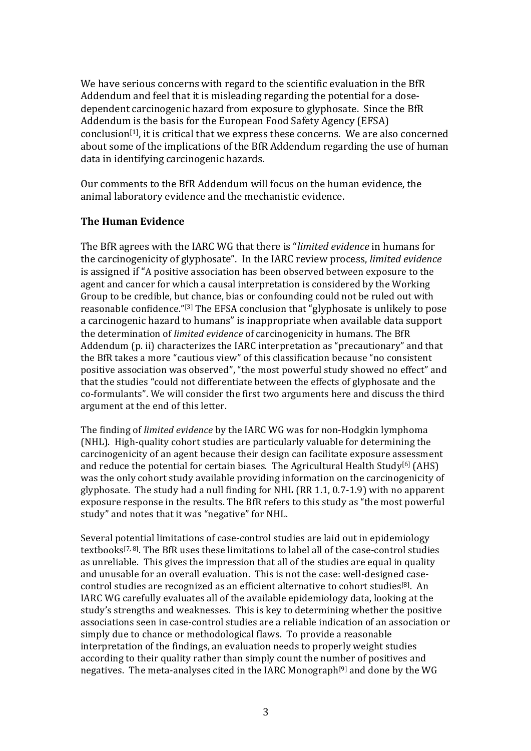We have serious concerns with regard to the scientific evaluation in the BfR Addendum and feel that it is misleading regarding the potential for a dosedependent carcinogenic hazard from exposure to glyphosate. Since the BfR Addendum is the basis for the European Food Safety Agency (EFSA) conclusion $[1]$ , it is critical that we express these concerns. We are also concerned about some of the implications of the BfR Addendum regarding the use of human data in identifying carcinogenic hazards.

Our comments to the BfR Addendum will focus on the human evidence, the animal laboratory evidence and the mechanistic evidence.

## **The Human Evidence**

The BfR agrees with the IARC WG that there is "*limited evidence* in humans for the carcinogenicity of glyphosate". In the IARC review process, *limited evidence* is assigned if "A positive association has been observed between exposure to the agent and cancer for which a causal interpretation is considered by the Working Group to be credible, but chance, bias or confounding could not be ruled out with reasonable confidence."<sup>[3]</sup> The EFSA conclusion that "glyphosate is unlikely to pose a carcinogenic hazard to humans" is inappropriate when available data support the determination of *limited evidence* of carcinogenicity in humans. The BfR Addendum (p. ii) characterizes the IARC interpretation as "precautionary" and that the BfR takes a more "cautious view" of this classification because "no consistent" positive association was observed", "the most powerful study showed no effect" and that the studies "could not differentiate between the effects of glyphosate and the co-formulants". We will consider the first two arguments here and discuss the third argument at the end of this letter.

The finding of *limited evidence* by the IARC WG was for non-Hodgkin lymphoma (NHL). High-quality cohort studies are particularly valuable for determining the carcinogenicity of an agent because their design can facilitate exposure assessment and reduce the potential for certain biases. The Agricultural Health Study<sup>[6]</sup> (AHS) was the only cohort study available providing information on the carcinogenicity of glyphosate. The study had a null finding for NHL  $(RR 1.1, 0.7-1.9)$  with no apparent exposure response in the results. The BfR refers to this study as "the most powerful study" and notes that it was "negative" for NHL.

Several potential limitations of case-control studies are laid out in epidemiology textbooks<sup>[7, 8]</sup>. The BfR uses these limitations to label all of the case-control studies as unreliable. This gives the impression that all of the studies are equal in quality and unusable for an overall evaluation. This is not the case: well-designed casecontrol studies are recognized as an efficient alternative to cohort studies<sup>[8]</sup>. An IARC WG carefully evaluates all of the available epidemiology data, looking at the study's strengths and weaknesses. This is key to determining whether the positive associations seen in case-control studies are a reliable indication of an association or simply due to chance or methodological flaws. To provide a reasonable interpretation of the findings, an evaluation needs to properly weight studies according to their quality rather than simply count the number of positives and negatives. The meta-analyses cited in the IARC Monograph<sup>[9]</sup> and done by the WG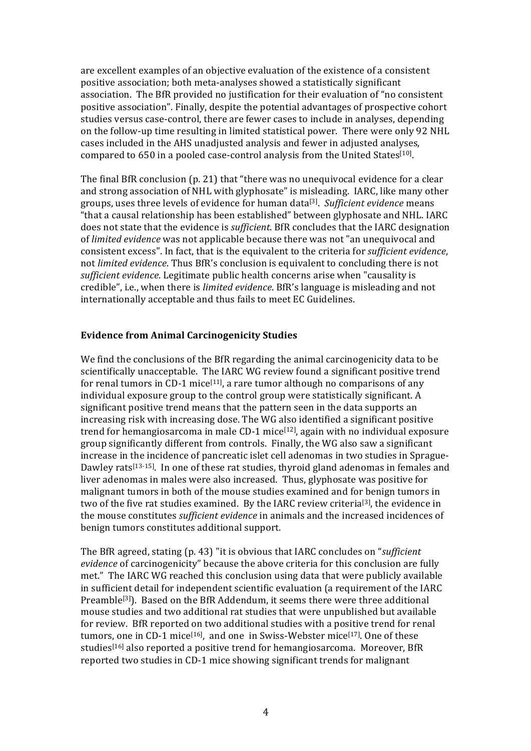are excellent examples of an objective evaluation of the existence of a consistent positive association; both meta-analyses showed a statistically significant association. The BfR provided no justification for their evaluation of "no consistent positive association". Finally, despite the potential advantages of prospective cohort studies versus case-control, there are fewer cases to include in analyses, depending on the follow-up time resulting in limited statistical power. There were only 92 NHL cases included in the AHS unadjusted analysis and fewer in adjusted analyses, compared to  $650$  in a pooled case-control analysis from the United States<sup>[10]</sup>.

The final BfR conclusion (p. 21) that "there was no unequivocal evidence for a clear and strong association of NHL with glyphosate" is misleading. IARC, like many other groups, uses three levels of evidence for human data<sup>[3]</sup>. Sufficient evidence means "that a causal relationship has been established" between glyphosate and NHL. IARC does not state that the evidence is *sufficient*. BfR concludes that the IARC designation of *limited evidence* was not applicable because there was not "an unequivocal and consistent excess". In fact, that is the equivalent to the criteria for *sufficient evidence*, not *limited evidence*. Thus BfR's conclusion is equivalent to concluding there is not *sufficient evidence*. Legitimate public health concerns arise when "causality is credible", i.e., when there is *limited evidence*. BfR's language is misleading and not internationally acceptable and thus fails to meet EC Guidelines.

#### **Evidence from Animal Carcinogenicity Studies**

We find the conclusions of the BfR regarding the animal carcinogenicity data to be scientifically unacceptable. The IARC WG review found a significant positive trend for renal tumors in CD-1 mice<sup>[11]</sup>, a rare tumor although no comparisons of any individual exposure group to the control group were statistically significant. A significant positive trend means that the pattern seen in the data supports an increasing risk with increasing dose. The WG also identified a significant positive trend for hemangiosarcoma in male CD-1 mice<sup>[12]</sup>, again with no individual exposure group significantly different from controls. Finally, the WG also saw a significant increase in the incidence of pancreatic islet cell adenomas in two studies in Sprague-Dawley rats<sup>[13-15]</sup>. In one of these rat studies, thyroid gland adenomas in females and liver adenomas in males were also increased. Thus, glyphosate was positive for malignant tumors in both of the mouse studies examined and for benign tumors in two of the five rat studies examined. By the IARC review criteria<sup>[3]</sup>, the evidence in the mouse constitutes *sufficient evidence* in animals and the increased incidences of benign tumors constitutes additional support.

The BfR agreed, stating (p. 43) "it is obvious that IARC concludes on "*sufficient evidence* of carcinogenicity" because the above criteria for this conclusion are fully met." The IARC WG reached this conclusion using data that were publicly available in sufficient detail for independent scientific evaluation (a requirement of the IARC Preamble<sup>[3]</sup>). Based on the BfR Addendum, it seems there were three additional mouse studies and two additional rat studies that were unpublished but available for review. BfR reported on two additional studies with a positive trend for renal tumors, one in CD-1 mice<sup>[16]</sup>, and one in Swiss-Webster mice<sup>[17]</sup>. One of these studies<sup>[16]</sup> also reported a positive trend for hemangiosarcoma. Moreover, BfR reported two studies in CD-1 mice showing significant trends for malignant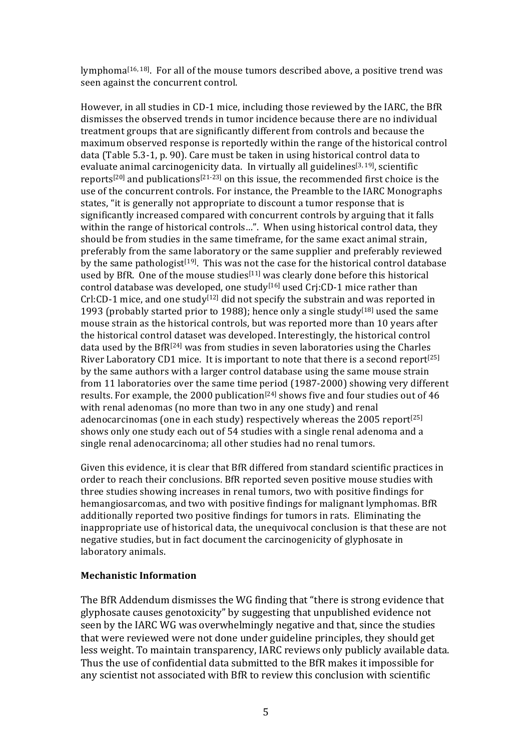lymphoma<sup>[16, 18]</sup>. For all of the mouse tumors described above, a positive trend was seen against the concurrent control.

However, in all studies in CD-1 mice, including those reviewed by the IARC, the BfR dismisses the observed trends in tumor incidence because there are no individual treatment groups that are significantly different from controls and because the maximum observed response is reportedly within the range of the historical control data (Table  $5.3-1$ , p. 90). Care must be taken in using historical control data to evaluate animal carcinogenicity data. In virtually all guidelines<sup>[3, 19]</sup>, scientific reports<sup>[20]</sup> and publications<sup>[21-23]</sup> on this issue, the recommended first choice is the use of the concurrent controls. For instance, the Preamble to the IARC Monographs states, "it is generally not appropriate to discount a tumor response that is significantly increased compared with concurrent controls by arguing that it falls within the range of historical controls...". When using historical control data, they should be from studies in the same timeframe, for the same exact animal strain, preferably from the same laboratory or the same supplier and preferably reviewed by the same pathologist<sup>[19]</sup>. This was not the case for the historical control database used by BfR. One of the mouse studies<sup>[11]</sup> was clearly done before this historical control database was developed, one study<sup>[16]</sup> used Crj:CD-1 mice rather than  $Crl:CD-1$  mice, and one study<sup>[12]</sup> did not specify the substrain and was reported in 1993 (probably started prior to 1988); hence only a single study<sup>[18]</sup> used the same mouse strain as the historical controls, but was reported more than 10 years after the historical control dataset was developed. Interestingly, the historical control data used by the  $BfR^{[24]}$  was from studies in seven laboratories using the Charles River Laboratory CD1 mice. It is important to note that there is a second report<sup>[25]</sup> by the same authors with a larger control database using the same mouse strain from 11 laboratories over the same time period (1987-2000) showing very different results. For example, the 2000 publication<sup>[24]</sup> shows five and four studies out of 46 with renal adenomas (no more than two in any one study) and renal adenocarcinomas (one in each study) respectively whereas the 2005 report<sup>[25]</sup> shows only one study each out of 54 studies with a single renal adenoma and a single renal adenocarcinoma; all other studies had no renal tumors.

Given this evidence, it is clear that BfR differed from standard scientific practices in order to reach their conclusions. BfR reported seven positive mouse studies with three studies showing increases in renal tumors, two with positive findings for hemangiosarcomas, and two with positive findings for malignant lymphomas. BfR additionally reported two positive findings for tumors in rats. Eliminating the inappropriate use of historical data, the unequivocal conclusion is that these are not negative studies, but in fact document the carcinogenicity of glyphosate in laboratory animals.

#### **Mechanistic Information**

The BfR Addendum dismisses the WG finding that "there is strong evidence that glyphosate causes genotoxicity" by suggesting that unpublished evidence not seen by the IARC WG was overwhelmingly negative and that, since the studies that were reviewed were not done under guideline principles, they should get less weight. To maintain transparency, IARC reviews only publicly available data. Thus the use of confidential data submitted to the BfR makes it impossible for any scientist not associated with BfR to review this conclusion with scientific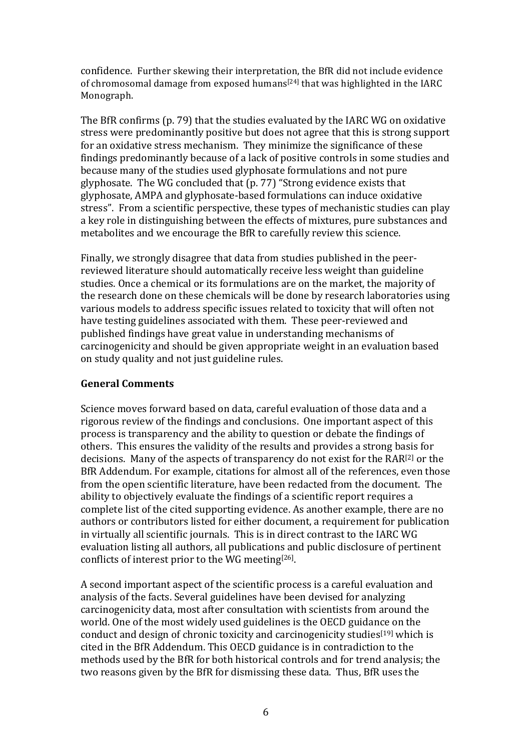confidence. Further skewing their interpretation, the BfR did not include evidence of chromosomal damage from exposed humans<sup>[24]</sup> that was highlighted in the IARC Monograph. 

The BfR confirms (p. 79) that the studies evaluated by the IARC WG on oxidative stress were predominantly positive but does not agree that this is strong support for an oxidative stress mechanism. They minimize the significance of these findings predominantly because of a lack of positive controls in some studies and because many of the studies used glyphosate formulations and not pure glyphosate. The WG concluded that  $(p. 77)$  "Strong evidence exists that glyphosate, AMPA and glyphosate-based formulations can induce oxidative stress". From a scientific perspective, these types of mechanistic studies can play a key role in distinguishing between the effects of mixtures, pure substances and metabolites and we encourage the BfR to carefully review this science.

Finally, we strongly disagree that data from studies published in the peerreviewed literature should automatically receive less weight than guideline studies. Once a chemical or its formulations are on the market, the majority of the research done on these chemicals will be done by research laboratories using various models to address specific issues related to toxicity that will often not have testing guidelines associated with them. These peer-reviewed and published findings have great value in understanding mechanisms of carcinogenicity and should be given appropriate weight in an evaluation based on study quality and not just guideline rules.

### **General Comments**

Science moves forward based on data, careful evaluation of those data and a rigorous review of the findings and conclusions. One important aspect of this process is transparency and the ability to question or debate the findings of others. This ensures the validity of the results and provides a strong basis for decisions. Many of the aspects of transparency do not exist for the RAR<sup>[2]</sup> or the BfR Addendum. For example, citations for almost all of the references, even those from the open scientific literature, have been redacted from the document. The ability to objectively evaluate the findings of a scientific report requires a complete list of the cited supporting evidence. As another example, there are no authors or contributors listed for either document, a requirement for publication in virtually all scientific journals. This is in direct contrast to the IARC WG evaluation listing all authors, all publications and public disclosure of pertinent conflicts of interest prior to the WG meeting<sup>[26]</sup>.

A second important aspect of the scientific process is a careful evaluation and analysis of the facts. Several guidelines have been devised for analyzing carcinogenicity data, most after consultation with scientists from around the world. One of the most widely used guidelines is the OECD guidance on the conduct and design of chronic toxicity and carcinogenicity studies<sup>[19]</sup> which is cited in the BfR Addendum. This OECD guidance is in contradiction to the methods used by the BfR for both historical controls and for trend analysis; the two reasons given by the BfR for dismissing these data. Thus, BfR uses the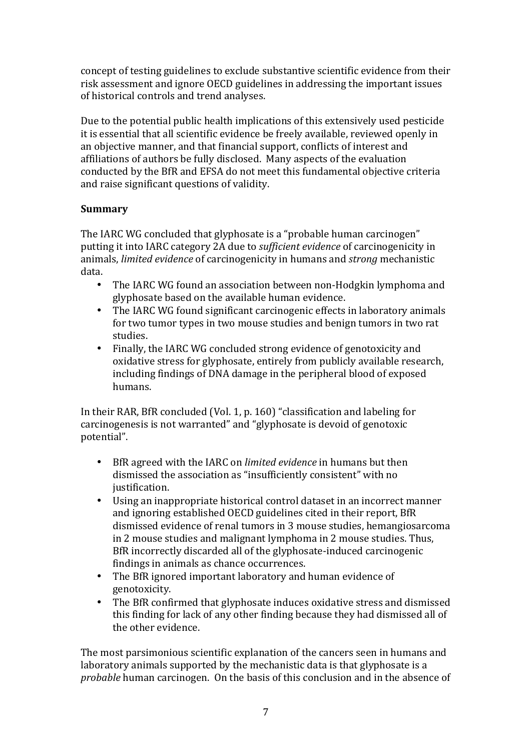concept of testing guidelines to exclude substantive scientific evidence from their risk assessment and ignore OECD guidelines in addressing the important issues of historical controls and trend analyses.

Due to the potential public health implications of this extensively used pesticide it is essential that all scientific evidence be freely available, reviewed openly in an objective manner, and that financial support, conflicts of interest and affiliations of authors be fully disclosed. Many aspects of the evaluation conducted by the BfR and EFSA do not meet this fundamental objective criteria and raise significant questions of validity.

# **Summary**

The IARC WG concluded that glyphosate is a "probable human carcinogen" putting it into IARC category 2A due to *sufficient evidence* of carcinogenicity in animals, *limited evidence* of carcinogenicity in humans and *strong* mechanistic data. 

- The IARC WG found an association between non-Hodgkin lymphoma and glyphosate based on the available human evidence.
- The IARC WG found significant carcinogenic effects in laboratory animals for two tumor types in two mouse studies and benign tumors in two rat studies.
- Finally, the IARC WG concluded strong evidence of genotoxicity and oxidative stress for glyphosate, entirely from publicly available research, including findings of DNA damage in the peripheral blood of exposed humans.

In their RAR, BfR concluded (Vol. 1, p. 160) "classification and labeling for carcinogenesis is not warranted" and "glyphosate is devoid of genotoxic potential". 

- BfR agreed with the IARC on *limited evidence* in humans but then dismissed the association as "insufficiently consistent" with no justification.
- Using an inappropriate historical control dataset in an incorrect manner and ignoring established OECD guidelines cited in their report, BfR dismissed evidence of renal tumors in 3 mouse studies, hemangiosarcoma in 2 mouse studies and malignant lymphoma in 2 mouse studies. Thus, BfR incorrectly discarded all of the glyphosate-induced carcinogenic findings in animals as chance occurrences.
- The BfR ignored important laboratory and human evidence of genotoxicity.
- The BfR confirmed that glyphosate induces oxidative stress and dismissed this finding for lack of any other finding because they had dismissed all of the other evidence.

The most parsimonious scientific explanation of the cancers seen in humans and laboratory animals supported by the mechanistic data is that glyphosate is a *probable* human carcinogen. On the basis of this conclusion and in the absence of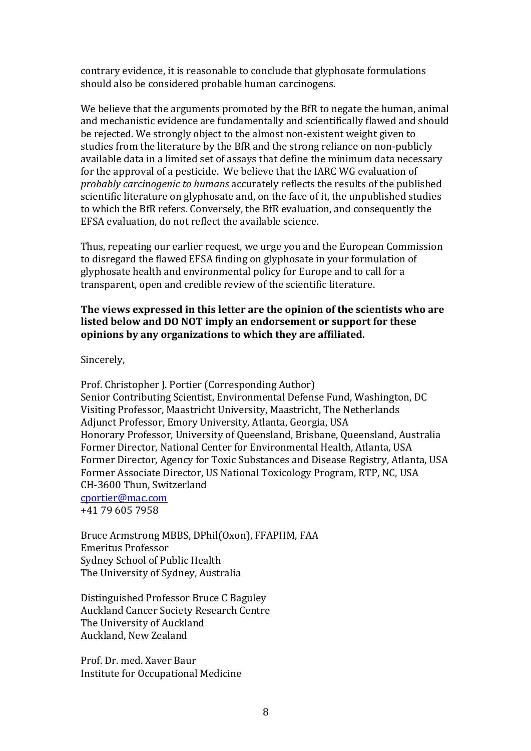contrary evidence, it is reasonable to conclude that glyphosate formulations should also be considered probable human carcinogens.

We believe that the arguments promoted by the BfR to negate the human, animal and mechanistic evidence are fundamentally and scientifically flawed and should be rejected. We strongly object to the almost non-existent weight given to studies from the literature by the BfR and the strong reliance on non-publicly available data in a limited set of assays that define the minimum data necessary for the approval of a pesticide. We believe that the IARC WG evaluation of *probably carcinogenic to humans* accurately reflects the results of the published scientific literature on glyphosate and, on the face of it, the unpublished studies to which the BfR refers. Conversely, the BfR evaluation, and consequently the EFSA evaluation, do not reflect the available science.

Thus, repeating our earlier request, we urge you and the European Commission to disregard the flawed EFSA finding on glyphosate in your formulation of glyphosate health and environmental policy for Europe and to call for a transparent, open and credible review of the scientific literature.

### **The views expressed in this letter are the opinion of the scientists who are** listed below and DO NOT imply an endorsement or support for these **opinions** by any organizations to which they are affiliated.

Sincerely,

Prof. Christopher J. Portier (Corresponding Author) Senior Contributing Scientist, Environmental Defense Fund, Washington, DC Visiting Professor, Maastricht University, Maastricht, The Netherlands Adjunct Professor, Emory University, Atlanta, Georgia, USA Honorary Professor, University of Queensland, Brisbane, Queensland, Australia Former Director, National Center for Environmental Health, Atlanta, USA Former Director, Agency for Toxic Substances and Disease Registry, Atlanta, USA Former Associate Director, US National Toxicology Program, RTP, NC, USA CH-3600 Thun, Switzerland cportier@mac.com +41 79 605 7958

Bruce Armstrong MBBS, DPhil(Oxon), FFAPHM, FAA Emeritus Professor Sydney School of Public Health The University of Sydney, Australia

Distinguished Professor Bruce C Baguley Auckland Cancer Society Research Centre The University of Auckland Auckland, New Zealand

Prof. Dr. med. Xaver Baur Institute for Occupational Medicine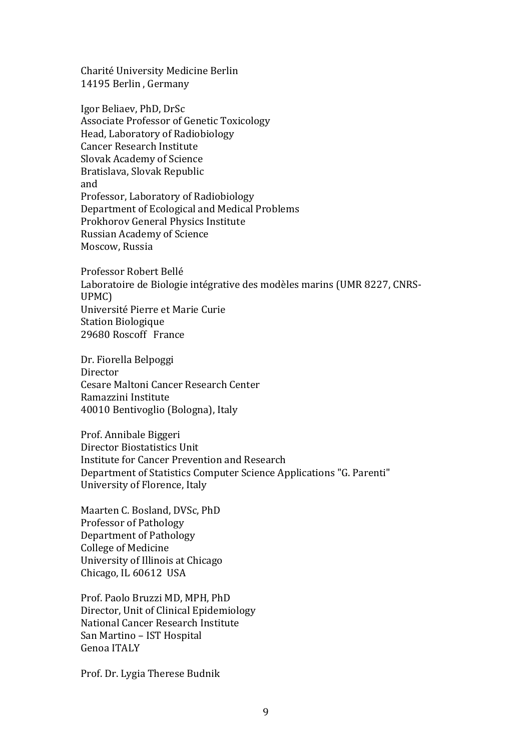Charité University Medicine Berlin 14195 Berlin, Germany

Igor Beliaev, PhD, DrSc Associate Professor of Genetic Toxicology Head, Laboratory of Radiobiology **Cancer Research Institute** Slovak Academy of Science Bratislava, Slovak Republic and Professor, Laboratory of Radiobiology Department of Ecological and Medical Problems Prokhorov General Physics Institute Russian Academy of Science Moscow, Russia

Professor Robert Bellé Laboratoire de Biologie intégrative des modèles marins (UMR 8227, CNRS-UPMC) Université Pierre et Marie Curie **Station Biologique** 29680 Roscoff France

Dr. Fiorella Belpoggi Director Cesare Maltoni Cancer Research Center Ramazzini Institute 40010 Bentivoglio (Bologna), Italy

Prof. Annibale Biggeri Director Biostatistics Unit Institute for Cancer Prevention and Research Department of Statistics Computer Science Applications "G. Parenti" University of Florence, Italy

Maarten C. Bosland, DVSc, PhD Professor of Pathology Department of Pathology College of Medicine University of Illinois at Chicago Chicago, IL 60612 USA

Prof. Paolo Bruzzi MD, MPH, PhD Director, Unit of Clinical Epidemiology National Cancer Research Institute San Martino - IST Hospital Genoa ITALY

Prof. Dr. Lygia Therese Budnik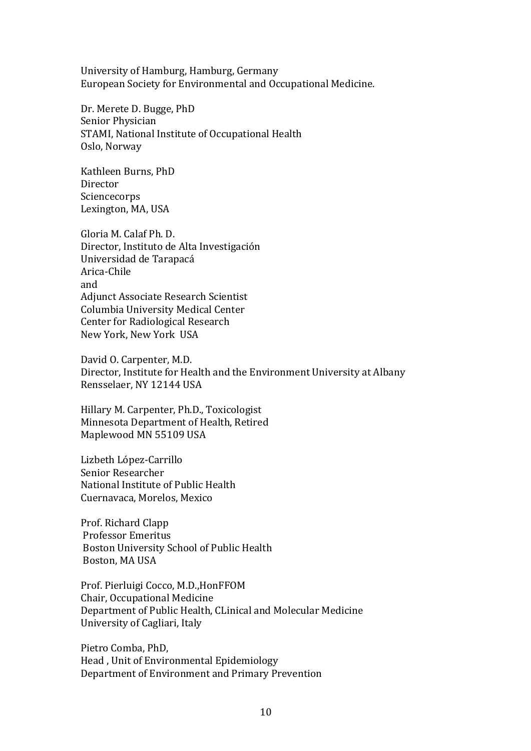University of Hamburg, Hamburg, Germany European Society for Environmental and Occupational Medicine.

Dr. Merete D. Bugge, PhD Senior Physician STAMI, National Institute of Occupational Health Oslo, Norway

Kathleen Burns, PhD **Director Sciencecorps** Lexington, MA, USA

Gloria M. Calaf Ph. D. Director, Instituto de Alta Investigación Universidad de Tarapacá Arica-Chile and Adjunct Associate Research Scientist Columbia University Medical Center Center for Radiological Research New York, New York USA

David O. Carpenter, M.D. Director, Institute for Health and the Environment University at Albany Rensselaer, NY 12144 USA

Hillary M. Carpenter, Ph.D., Toxicologist Minnesota Department of Health, Retired Maplewood MN 55109 USA

Lizbeth López-Carrillo Senior Researcher National Institute of Public Health Cuernavaca, Morelos, Mexico

Prof. Richard Clapp Professor Emeritus Boston University School of Public Health Boston, MA USA

Prof. Pierluigi Cocco, M.D., HonFFOM Chair, Occupational Medicine Department of Public Health, CLinical and Molecular Medicine University of Cagliari, Italy

Pietro Comba, PhD, Head , Unit of Environmental Epidemiology Department of Environment and Primary Prevention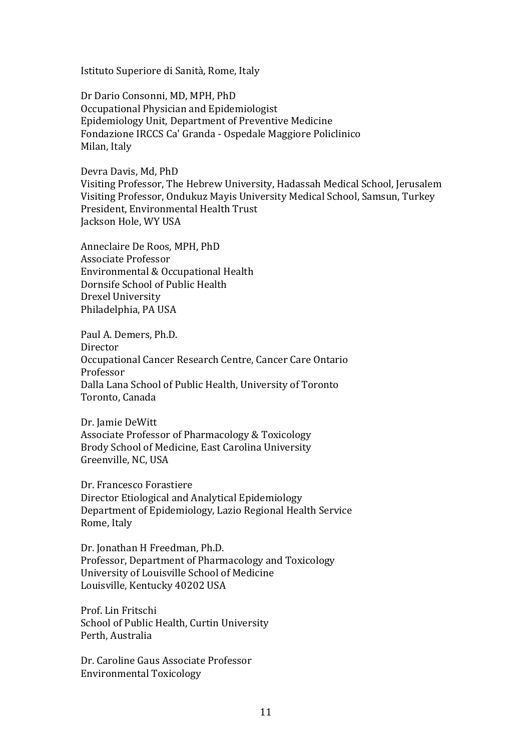Istituto Superiore di Sanità, Rome, Italy

Dr Dario Consonni, MD, MPH, PhD Occupational Physician and Epidemiologist Epidemiology Unit, Department of Preventive Medicine Fondazione IRCCS Ca' Granda - Ospedale Maggiore Policlinico Milan, Italy

Devra Davis, Md, PhD Visiting Professor, The Hebrew University, Hadassah Medical School, Jerusalem Visiting Professor, Ondukuz Mayis University Medical School, Samsun, Turkey President, Environmental Health Trust Jackson Hole, WY USA

Anneclaire De Roos, MPH, PhD Associate Professor Environmental & Occupational Health Dornsife School of Public Health Drexel University Philadelphia, PA USA

Paul A. Demers, Ph.D. Director Occupational Cancer Research Centre, Cancer Care Ontario Professor Dalla Lana School of Public Health, University of Toronto Toronto, Canada

Dr. Jamie DeWitt Associate Professor of Pharmacology & Toxicology Brody School of Medicine, East Carolina University Greenville, NC, USA

Dr. Francesco Forastiere Director Etiological and Analytical Epidemiology Department of Epidemiology, Lazio Regional Health Service Rome, Italy

Dr. Jonathan H Freedman, Ph.D. Professor, Department of Pharmacology and Toxicology University of Louisville School of Medicine Louisville, Kentucky 40202 USA

Prof. Lin Fritschi School of Public Health, Curtin University Perth, Australia

Dr. Caroline Gaus Associate Professor Environmental Toxicology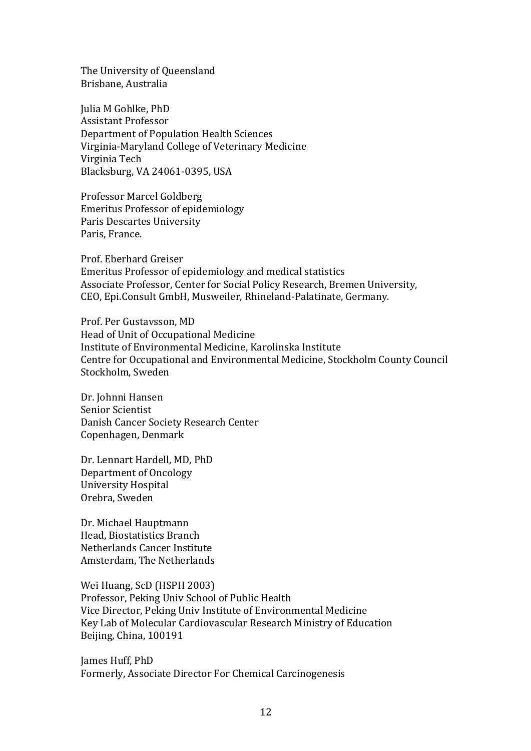The University of Queensland Brisbane, Australia

Julia M Gohlke, PhD Assistant Professor Department of Population Health Sciences Virginia-Maryland College of Veterinary Medicine Virginia Tech Blacksburg, VA 24061-0395, USA

Professor Marcel Goldberg Emeritus Professor of epidemiology Paris Descartes University Paris, France.

Prof. Eberhard Greiser Emeritus Professor of epidemiology and medical statistics Associate Professor, Center for Social Policy Research, Bremen University, CEO, Epi.Consult GmbH, Musweiler, Rhineland-Palatinate, Germany.

Prof. Per Gustavsson, MD Head of Unit of Occupational Medicine Institute of Environmental Medicine, Karolinska Institute Centre for Occupational and Environmental Medicine, Stockholm County Council Stockholm, Sweden

Dr. Johnni Hansen Senior Scientist Danish Cancer Society Research Center Copenhagen, Denmark

Dr. Lennart Hardell, MD, PhD Department of Oncology University Hospital Orebra, Sweden

Dr. Michael Hauptmann Head, Biostatistics Branch Netherlands Cancer Institute Amsterdam, The Netherlands

Wei Huang, ScD (HSPH 2003) Professor, Peking Univ School of Public Health Vice Director, Peking Univ Institute of Environmental Medicine Key Lab of Molecular Cardiovascular Research Ministry of Education Beijing, China, 100191

James Huff, PhD Formerly, Associate Director For Chemical Carcinogenesis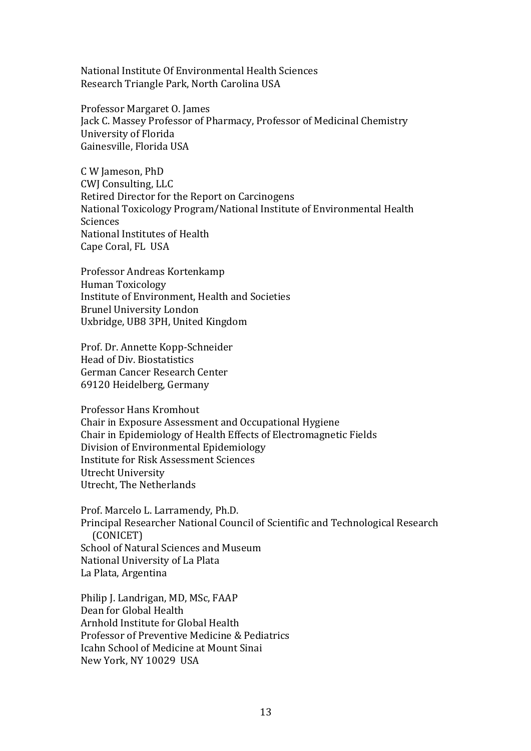National Institute Of Environmental Health Sciences Research Triangle Park, North Carolina USA

Professor Margaret O. James Jack C. Massey Professor of Pharmacy, Professor of Medicinal Chemistry University of Florida Gainesville, Florida USA

C W Jameson, PhD CWJ Consulting, LLC Retired Director for the Report on Carcinogens National Toxicology Program/National Institute of Environmental Health **Sciences** National Institutes of Health Cape Coral, FL USA

Professor Andreas Kortenkamp Human Toxicology Institute of Environment, Health and Societies Brunel University London Uxbridge, UB8 3PH, United Kingdom

Prof. Dr. Annette Kopp-Schneider Head of Div. Biostatistics German Cancer Research Center 69120 Heidelberg, Germany

Professor Hans Kromhout Chair in Exposure Assessment and Occupational Hygiene Chair in Epidemiology of Health Effects of Electromagnetic Fields Division of Environmental Epidemiology Institute for Risk Assessment Sciences Utrecht University Utrecht, The Netherlands

Prof. Marcelo L. Larramendy, Ph.D. Principal Researcher National Council of Scientific and Technological Research (CONICET) School of Natural Sciences and Museum National University of La Plata La Plata, Argentina

Philip J. Landrigan, MD, MSc, FAAP Dean for Global Health Arnhold Institute for Global Health Professor of Preventive Medicine & Pediatrics Icahn School of Medicine at Mount Sinai New York, NY 10029 USA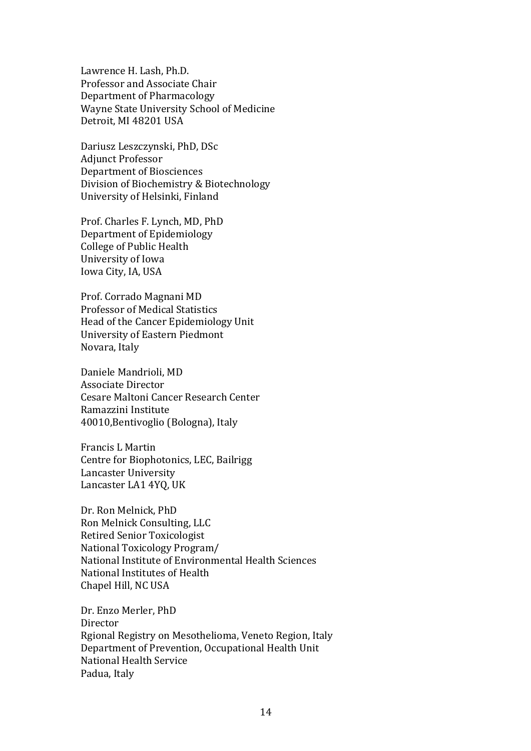Lawrence H. Lash, Ph.D. Professor and Associate Chair Department of Pharmacology Wayne State University School of Medicine Detroit, MI 48201 USA

Dariusz Leszczynski, PhD, DSc **Adjunct Professor** Department of Biosciences Division of Biochemistry & Biotechnology University of Helsinki, Finland

Prof. Charles F. Lynch, MD, PhD Department of Epidemiology College of Public Health University of Iowa Iowa City, IA, USA

Prof. Corrado Magnani MD Professor of Medical Statistics Head of the Cancer Epidemiology Unit University of Eastern Piedmont Novara, Italy

Daniele Mandrioli, MD Associate Director Cesare Maltoni Cancer Research Center Ramazzini Institute 40010, Bentivoglio (Bologna), Italy

Francis L Martin Centre for Biophotonics, LEC, Bailrigg Lancaster University Lancaster LA1 4YQ, UK

Dr. Ron Melnick, PhD Ron Melnick Consulting, LLC Retired Senior Toxicologist National Toxicology Program/ National Institute of Environmental Health Sciences National Institutes of Health Chapel Hill, NC USA

Dr. Enzo Merler, PhD **Director** Rgional Registry on Mesothelioma, Veneto Region, Italy Department of Prevention, Occupational Health Unit National Health Service Padua, Italy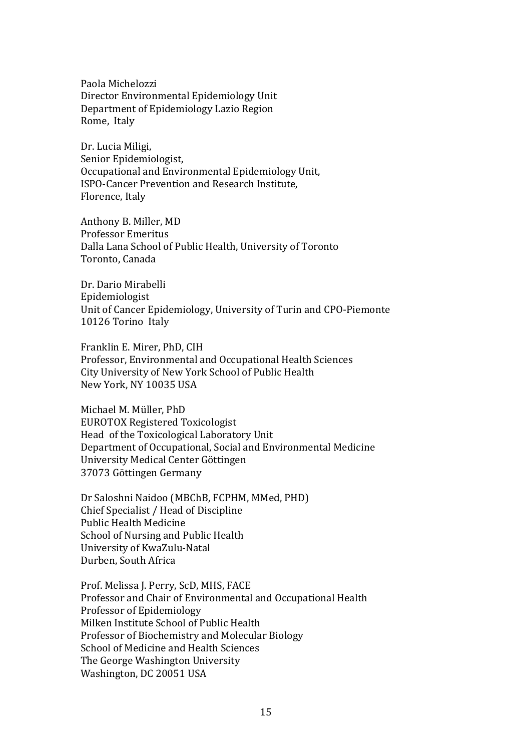Paola Michelozzi Director Environmental Epidemiology Unit Department of Epidemiology Lazio Region Rome, Italy

Dr. Lucia Miligi, Senior Epidemiologist, Occupational and Environmental Epidemiology Unit, ISPO-Cancer Prevention and Research Institute, Florence, Italy

Anthony B. Miller, MD Professor Emeritus Dalla Lana School of Public Health, University of Toronto Toronto, Canada

Dr. Dario Mirabelli Epidemiologist Unit of Cancer Epidemiology, University of Turin and CPO-Piemonte 10126 Torino Italy

Franklin E. Mirer, PhD, CIH Professor, Environmental and Occupational Health Sciences City University of New York School of Public Health New York, NY 10035 USA

Michael M. Müller, PhD EUROTOX Registered Toxicologist Head of the Toxicological Laboratory Unit Department of Occupational, Social and Environmental Medicine University Medical Center Göttingen 37073 Göttingen Germany

Dr Saloshni Naidoo (MBChB, FCPHM, MMed, PHD) Chief Specialist / Head of Discipline Public Health Medicine School of Nursing and Public Health University of KwaZulu-Natal Durben, South Africa

Prof. Melissa J. Perry, ScD, MHS, FACE Professor and Chair of Environmental and Occupational Health Professor of Epidemiology Milken Institute School of Public Health Professor of Biochemistry and Molecular Biology School of Medicine and Health Sciences The George Washington University Washington, DC 20051 USA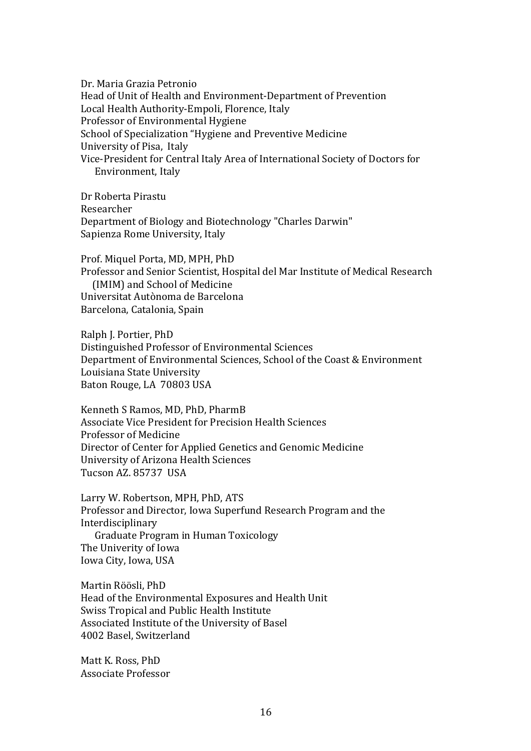Dr. Maria Grazia Petronio Head of Unit of Health and Environment-Department of Prevention Local Health Authority-Empoli, Florence, Italy Professor of Environmental Hygiene School of Specialization "Hygiene and Preventive Medicine University of Pisa, Italy Vice-President for Central Italy Area of International Society of Doctors for Environment, Italy

Dr Roberta Pirastu Researcher Department of Biology and Biotechnology "Charles Darwin" Sapienza Rome University, Italy

Prof. Miquel Porta, MD, MPH, PhD Professor and Senior Scientist, Hospital del Mar Institute of Medical Research (IMIM) and School of Medicine Universitat Autònoma de Barcelona Barcelona, Catalonia, Spain

Ralph J. Portier, PhD Distinguished Professor of Environmental Sciences Department of Environmental Sciences, School of the Coast & Environment Louisiana State University Baton Rouge, LA 70803 USA

Kenneth S Ramos, MD, PhD, PharmB Associate Vice President for Precision Health Sciences Professor of Medicine Director of Center for Applied Genetics and Genomic Medicine University of Arizona Health Sciences Tucson AZ. 85737 USA

Larry W. Robertson, MPH, PhD, ATS Professor and Director, Iowa Superfund Research Program and the Interdisciplinary Graduate Program in Human Toxicology The Univerity of Iowa Iowa City, Iowa, USA

Martin Röösli, PhD Head of the Environmental Exposures and Health Unit Swiss Tropical and Public Health Institute Associated Institute of the University of Basel 4002 Basel, Switzerland

Matt K. Ross, PhD Associate Professor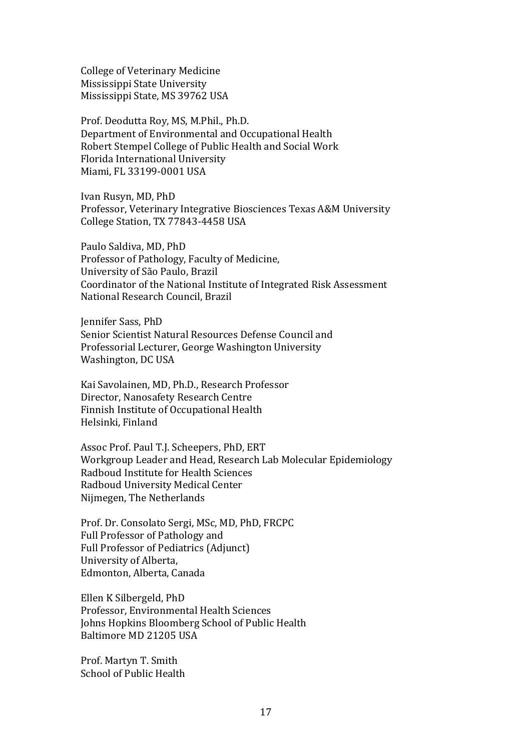College of Veterinary Medicine Mississippi State University Mississippi State, MS 39762 USA

Prof. Deodutta Roy, MS, M.Phil., Ph.D. Department of Environmental and Occupational Health Robert Stempel College of Public Health and Social Work Florida International University Miami, FL 33199-0001 USA

Ivan Rusyn, MD, PhD Professor, Veterinary Integrative Biosciences Texas A&M University College Station, TX 77843-4458 USA

Paulo Saldiva, MD, PhD Professor of Pathology, Faculty of Medicine, University of São Paulo, Brazil Coordinator of the National Institute of Integrated Risk Assessment National Research Council, Brazil

Jennifer Sass, PhD Senior Scientist Natural Resources Defense Council and Professorial Lecturer, George Washington University Washington, DC USA

Kai Savolainen, MD, Ph.D., Research Professor Director, Nanosafety Research Centre Finnish Institute of Occupational Health Helsinki, Finland

Assoc Prof. Paul T.J. Scheepers, PhD, ERT Workgroup Leader and Head, Research Lab Molecular Epidemiology Radboud Institute for Health Sciences Radboud University Medical Center Nijmegen, The Netherlands

Prof. Dr. Consolato Sergi, MSc, MD, PhD, FRCPC Full Professor of Pathology and Full Professor of Pediatrics (Adjunct) University of Alberta. Edmonton, Alberta, Canada

Ellen K Silbergeld, PhD Professor, Environmental Health Sciences Johns Hopkins Bloomberg School of Public Health Baltimore MD 21205 USA

Prof. Martyn T. Smith School of Public Health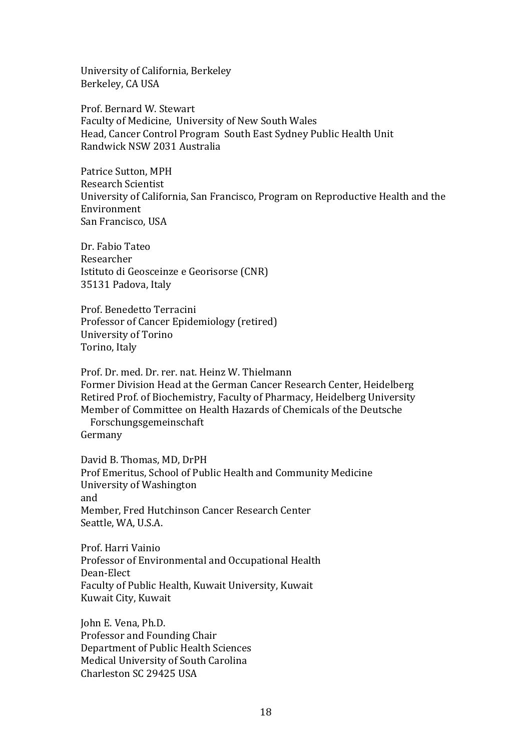University of California, Berkeley Berkeley, CA USA

Prof. Bernard W. Stewart Faculty of Medicine, University of New South Wales Head, Cancer Control Program South East Sydney Public Health Unit Randwick NSW 2031 Australia 

Patrice Sutton, MPH Research Scientist University of California, San Francisco, Program on Reproductive Health and the Environment San Francisco, USA

Dr. Fabio Tateo Researcher Istituto di Geosceinze e Georisorse (CNR) 35131 Padova, Italy

Prof. Benedetto Terracini Professor of Cancer Epidemiology (retired) University of Torino Torino, Italy

Prof. Dr. med. Dr. rer. nat. Heinz W. Thielmann Former Division Head at the German Cancer Research Center, Heidelberg Retired Prof. of Biochemistry, Faculty of Pharmacy, Heidelberg University Member of Committee on Health Hazards of Chemicals of the Deutsche Forschungsgemeinschaft

Germany

David B. Thomas, MD, DrPH Prof Emeritus, School of Public Health and Community Medicine University of Washington and Member, Fred Hutchinson Cancer Research Center Seattle, WA, U.S.A.

Prof. Harri Vainio Professor of Environmental and Occupational Health Dean-Elect Faculty of Public Health, Kuwait University, Kuwait Kuwait City, Kuwait

John E. Vena, Ph.D. Professor and Founding Chair Department of Public Health Sciences Medical University of South Carolina Charleston SC 29425 USA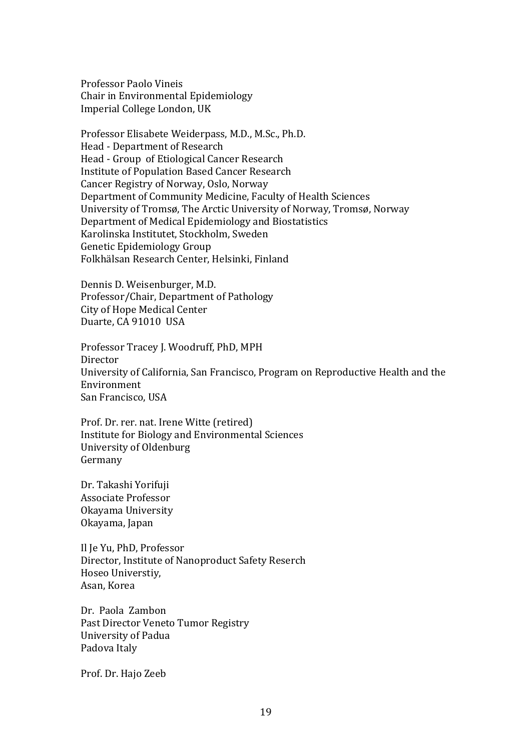Professor Paolo Vineis Chair in Environmental Epidemiology Imperial College London, UK

Professor Elisabete Weiderpass, M.D., M.Sc., Ph.D. Head - Department of Research Head - Group of Etiological Cancer Research Institute of Population Based Cancer Research Cancer Registry of Norway, Oslo, Norway Department of Community Medicine, Faculty of Health Sciences University of Tromsø, The Arctic University of Norway, Tromsø, Norway Department of Medical Epidemiology and Biostatistics Karolinska Institutet, Stockholm, Sweden Genetic Epidemiology Group Folkhälsan Research Center, Helsinki, Finland

Dennis D. Weisenburger, M.D. Professor/Chair, Department of Pathology City of Hope Medical Center Duarte, CA 91010 USA

Professor Tracey I. Woodruff, PhD, MPH Director University of California, San Francisco, Program on Reproductive Health and the Environment San Francisco, USA

Prof. Dr. rer. nat. Irene Witte (retired) Institute for Biology and Environmental Sciences University of Oldenburg Germany

Dr. Takashi Yorifuji Associate Professor Okayama University Okayama, Japan

Il Je Yu, PhD, Professor Director, Institute of Nanoproduct Safety Reserch Hoseo Universtiy, Asan, Korea

Dr. Paola Zambon Past Director Veneto Tumor Registry University of Padua Padova Italy

Prof. Dr. Hajo Zeeb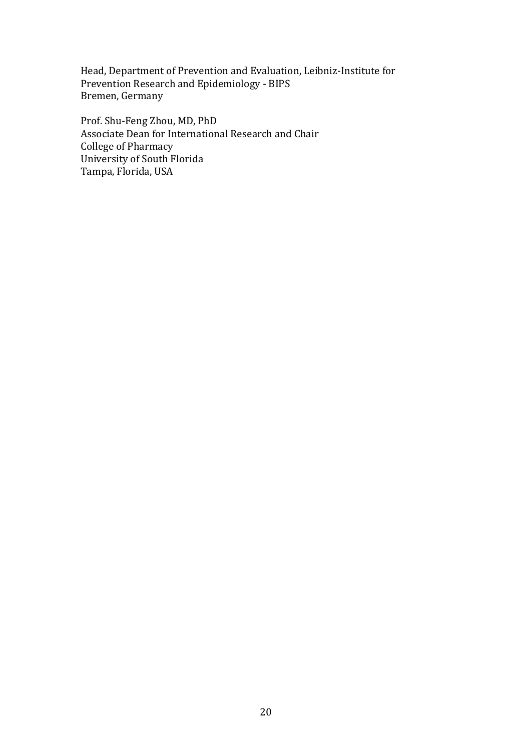Head, Department of Prevention and Evaluation, Leibniz-Institute for Prevention Research and Epidemiology - BIPS Bremen, Germany

Prof. Shu-Feng Zhou, MD, PhD Associate Dean for International Research and Chair College of Pharmacy University of South Florida Tampa, Florida, USA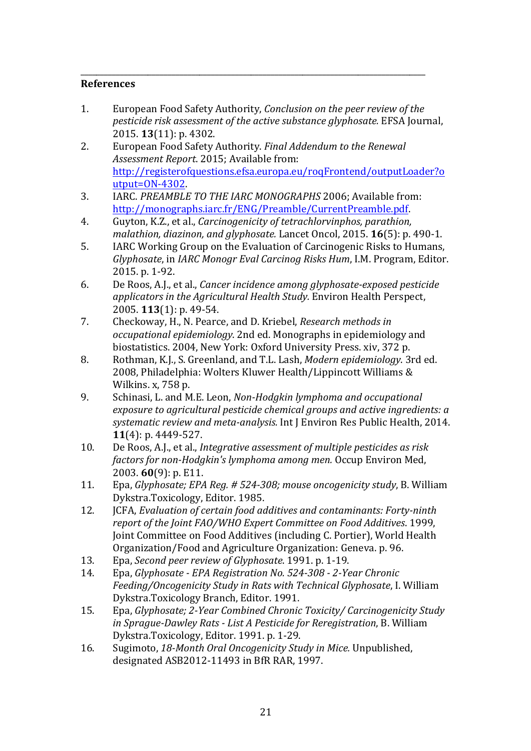### **References**

1. European Food Safety Authority, *Conclusion on the peer review of the pesticide risk assessment of the active substance glyphosate.* EFSA Journal, 2015. **13**(11): p. 4302.

\_\_\_\_\_\_\_\_\_\_\_\_\_\_\_\_\_\_\_\_\_\_\_\_\_\_\_\_\_\_\_\_\_\_\_\_\_\_\_\_\_\_\_\_\_\_\_\_\_\_\_\_\_\_\_\_\_\_\_\_\_\_\_\_\_\_\_\_\_\_\_\_\_\_\_\_\_\_\_\_\_\_\_\_\_\_\_

- 2. European Food Safety Authority. *Final Addendum to the Renewal* Assessment Report. 2015; Available from: http://registerofquestions.efsa.europa.eu/roqFrontend/outputLoader?o utput=ON-4302.
- 3. IARC. *PREAMBLE TO THE IARC MONOGRAPHS* 2006; Available from: http://monographs.iarc.fr/ENG/Preamble/CurrentPreamble.pdf.
- 4. Guyton, K.Z., et al., *Carcinogenicity of tetrachlorvinphos, parathion, malathion, diazinon, and glyphosate.* Lancet Oncol, 2015. **16**(5): p. 490-1.
- 5. IARC Working Group on the Evaluation of Carcinogenic Risks to Humans, *Glyphosate*, in *IARC Monogr Eval Carcinog Risks Hum*, I.M. Program, Editor. 2015. p. 1-92.
- 6. De Roos, A.J., et al., *Cancer incidence among glyphosate-exposed pesticide applicators in the Agricultural Health Study.* Environ Health Perspect, 2005. **113**(1): p. 49-54.
- 7. Checkoway, H., N. Pearce, and D. Kriebel, *Research methods in occupational epidemiology*. 2nd ed. Monographs in epidemiology and biostatistics. 2004. New York: Oxford University Press. xiv. 372 p.
- 8. Rothman, K.J., S. Greenland, and T.L. Lash, *Modern epidemiology*. 3rd ed. 2008, Philadelphia: Wolters Kluwer Health/Lippincott Williams & Wilkins. x, 758 p.
- 9. Schinasi, L. and M.E. Leon, *Non-Hodakin lymphoma and occupational exposure to agricultural pesticide chemical groups and active ingredients: a* systematic review and meta-analysis. Int J Environ Res Public Health, 2014. **11**(4): p. 4449-527.
- 10. De Roos, A.J., et al., *Integrative assessment of multiple pesticides as risk factors for non-Hodgkin's lymphoma among men.* Occup Environ Med, 2003. **60**(9): p. E11.
- 11. Epa, *Glyphosate; EPA Reg. #* 524-308; mouse oncogenicity study, B. William Dykstra.Toxicology, Editor, 1985.
- 12. **JCFA**, *Evaluation of certain food additives and contaminants: Forty-ninth* report of the *Joint FAO/WHO Expert Committee on Food Additives*, 1999, Joint Committee on Food Additives (including C. Portier), World Health Organization/Food and Agriculture Organization: Geneva. p. 96.
- 13. Epa, *Second peer review of Glyphosate*. 1991. p. 1-19.
- 14. Epa, *Glyphosate EPA Registration No. 524-308 2-Year Chronic Feeding/Oncogenicity Study in Rats with Technical Glyphosate*, I. William Dykstra.Toxicology Branch, Editor. 1991.
- 15. Epa, *Glyphosate: 2-Year Combined Chronic Toxicity/ Carcinogenicity Study in Sprague-Dawley Rats - List A Pesticide for Reregistration*, B. William Dykstra.Toxicology, Editor. 1991. p. 1-29.
- 16. Sugimoto, 18-Month Oral Oncogenicity Study in Mice. Unpublished, designated ASB2012-11493 in BfR RAR, 1997.